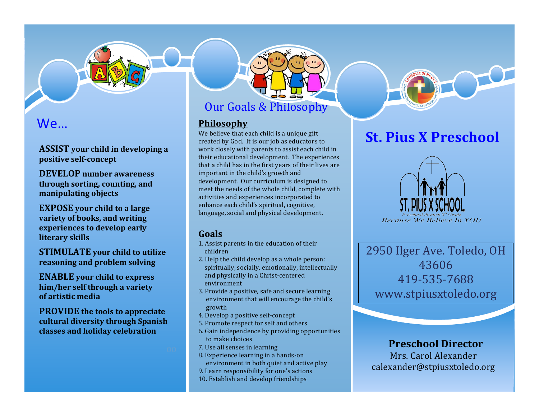### We…

**ASSIST** your child in developing a **positive self-concept**

**DEVELOP** number awareness **through sorting, counting, and manipulating objects**

**EXPOSE** your child to a large **variety of books, and writing experiences to develop early literary skills**

**STIMULATE** your child to utilize reasoning and problem solving

**ENABLE** vour child to express him/her self through a variety **of artistic media**

**PROVIDE** the tools to appreciate cultural diversity through Spanish **classes and holiday celebration**

## Our Goals & Philosophy

#### **Philosophy**

We believe that each child is a unique gift created by God. It is our job as educators to work closely with parents to assist each child in their educational development. The experiences that a child has in the first years of their lives are important in the child's growth and development. Our curriculum is designed to meet the needs of the whole child, complete with activities and experiences incorporated to enhance each child's spiritual, cognitive, language, social and physical development.

#### **Goals**

- 1. Assist parents in the education of their children
- 2. Help the child develop as a whole person: spiritually, socially, emotionally, intellectually and physically in a Christ-centered environment
- 3. Provide a positive, safe and secure learning environment that will encourage the child's growth
- 4. Develop a positive self-concept
- 5. Promote respect for self and others
- 6. Gain independence by providing opportunities to make choices
- 7. Use all senses in learning
- 8. Experience learning in a hands-on environment in both quiet and active play
- 9. Learn responsibility for one's actions
- 10. Establish and develop friendships

## **St. Pius X Preschool**



2950 Ilger Ave. Toledo, OH 43606 419-535-7688 www.stpiusxtoledo.org

### **Preschool Director**

Mrs. Carol Alexander calexander@stpiusxtoledo.org